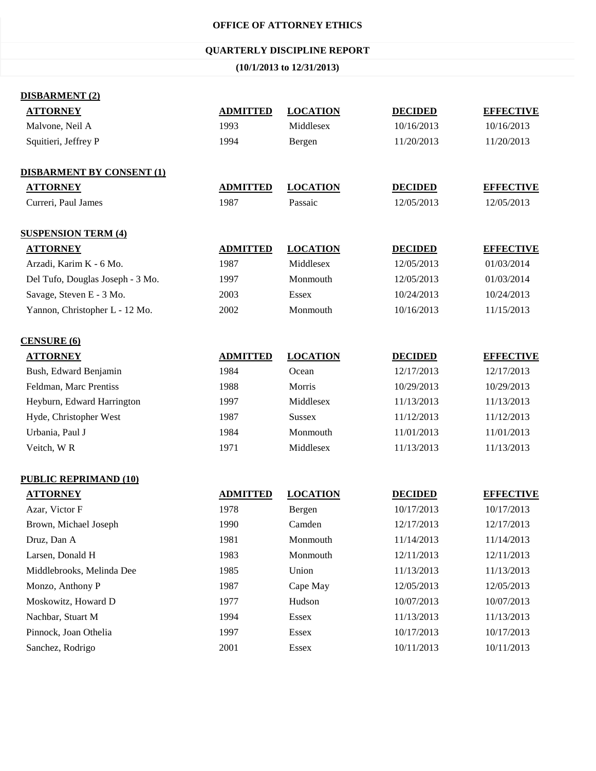#### **OFFICE OF ATTORNEY ETHICS**

## **QUARTERLY DISCIPLINE REPORT**

**(10/1/2013 to 12/31/2013)**

| <b>DISBARMENT (2)</b>            |                 |                 |                |                  |
|----------------------------------|-----------------|-----------------|----------------|------------------|
| <b>ATTORNEY</b>                  | <b>ADMITTED</b> | <b>LOCATION</b> | <b>DECIDED</b> | <b>EFFECTIVE</b> |
| Malvone, Neil A                  | 1993            | Middlesex       | 10/16/2013     | 10/16/2013       |
| Squitieri, Jeffrey P             | 1994            | Bergen          | 11/20/2013     | 11/20/2013       |
| <b>DISBARMENT BY CONSENT (1)</b> |                 |                 |                |                  |
| <b>ATTORNEY</b>                  | <b>ADMITTED</b> | <b>LOCATION</b> | <b>DECIDED</b> | <b>EFFECTIVE</b> |
| Curreri, Paul James              | 1987            | Passaic         | 12/05/2013     | 12/05/2013       |
| <b>SUSPENSION TERM (4)</b>       |                 |                 |                |                  |
| <b>ATTORNEY</b>                  | <b>ADMITTED</b> | <b>LOCATION</b> | <b>DECIDED</b> | <b>EFFECTIVE</b> |
| Arzadi, Karim K - 6 Mo.          | 1987            | Middlesex       | 12/05/2013     | 01/03/2014       |
| Del Tufo, Douglas Joseph - 3 Mo. | 1997            | Monmouth        | 12/05/2013     | 01/03/2014       |
| Savage, Steven E - 3 Mo.         | 2003            | Essex           | 10/24/2013     | 10/24/2013       |
| Yannon, Christopher L - 12 Mo.   | 2002            | Monmouth        | 10/16/2013     | 11/15/2013       |
| <b>CENSURE (6)</b>               |                 |                 |                |                  |
| <b>ATTORNEY</b>                  | <b>ADMITTED</b> | <b>LOCATION</b> | <b>DECIDED</b> | <b>EFFECTIVE</b> |
| Bush, Edward Benjamin            | 1984            | Ocean           | 12/17/2013     | 12/17/2013       |
| Feldman, Marc Prentiss           | 1988            | Morris          | 10/29/2013     | 10/29/2013       |
| Heyburn, Edward Harrington       | 1997            | Middlesex       | 11/13/2013     | 11/13/2013       |
| Hyde, Christopher West           | 1987            | <b>Sussex</b>   | 11/12/2013     | 11/12/2013       |
| Urbania, Paul J                  | 1984            | Monmouth        | 11/01/2013     | 11/01/2013       |
| Veitch, WR                       | 1971            | Middlesex       | 11/13/2013     | 11/13/2013       |
| <b>PUBLIC REPRIMAND (10)</b>     |                 |                 |                |                  |
| <b>ATTORNEY</b>                  | <b>ADMITTED</b> | <b>LOCATION</b> | <b>DECIDED</b> | <b>EFFECTIVE</b> |
| Azar, Victor F                   | 1978            | Bergen          | 10/17/2013     | 10/17/2013       |
| Brown, Michael Joseph            | 1990            | Camden          | 12/17/2013     | 12/17/2013       |
| Druz, Dan A                      | 1981            | Monmouth        | 11/14/2013     | 11/14/2013       |
| Larsen, Donald H                 | 1983            | Monmouth        | 12/11/2013     | 12/11/2013       |
| Middlebrooks, Melinda Dee        | 1985            | Union           | 11/13/2013     | 11/13/2013       |
| Monzo, Anthony P                 | 1987            | Cape May        | 12/05/2013     | 12/05/2013       |
| Moskowitz, Howard D              | 1977            | Hudson          | 10/07/2013     | 10/07/2013       |
| Nachbar, Stuart M                | 1994            | Essex           | 11/13/2013     | 11/13/2013       |
| Pinnock, Joan Othelia            | 1997            | Essex           | 10/17/2013     | 10/17/2013       |
| Sanchez, Rodrigo                 | 2001            | Essex           | 10/11/2013     | 10/11/2013       |